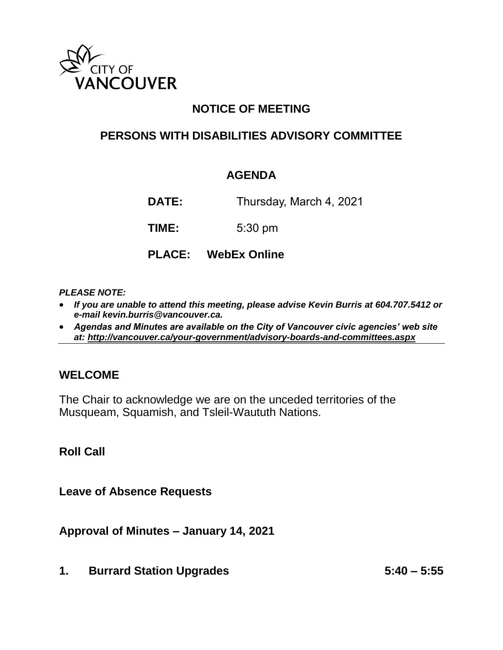

## **NOTICE OF MEETING**

### **PERSONS WITH DISABILITIES ADVISORY COMMITTEE**

#### **AGENDA**

**DATE:** Thursday, March 4, 2021

**TIME:** 5:30 pm

**PLACE: WebEx Online**

#### *PLEASE NOTE:*

- *If you are unable to attend this meeting, please advise Kevin Burris at 604.707.5412 or e-mail kevin.burris@vancouver.ca.*
- *Agendas and Minutes are available on the City of Vancouver civic agencies' web site at:<http://vancouver.ca/your-government/advisory-boards-and-committees.aspx>*

#### **WELCOME**

The Chair to acknowledge we are on the unceded territories of the Musqueam, Squamish, and Tsleil-Waututh Nations.

**Roll Call**

**Leave of Absence Requests** 

**Approval of Minutes – January 14, 2021**

**1. Burrard Station Upgrades 5:40 – 5:55**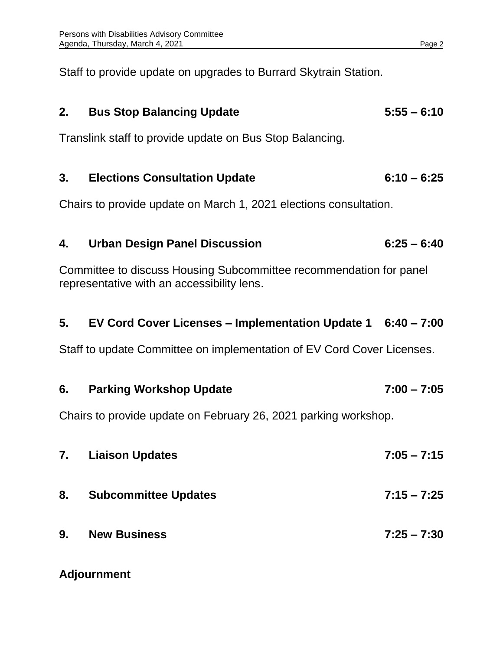Staff to provide update on upgrades to Burrard Skytrain Station.

# **2. Bus Stop Balancing Update 5:55 – 6:10**

Translink staff to provide update on Bus Stop Balancing.

## **3. Elections Consultation Update 6:10 – 6:25**

Chairs to provide update on March 1, 2021 elections consultation.

# **4. Urban Design Panel Discussion 6:25 – 6:40**

Committee to discuss Housing Subcommittee recommendation for panel representative with an accessibility lens.

### **5. EV Cord Cover Licenses – Implementation Update 1 6:40 – 7:00**

Staff to update Committee on implementation of EV Cord Cover Licenses.

| 6. | <b>Parking Workshop Update</b>                                  | $7:00 - 7:05$ |
|----|-----------------------------------------------------------------|---------------|
|    | Chairs to provide update on February 26, 2021 parking workshop. |               |
| 7. | <b>Liaison Updates</b>                                          | $7:05 - 7:15$ |
| 8. | <b>Subcommittee Updates</b>                                     | $7:15 - 7:25$ |
| 9. | <b>New Business</b>                                             | $7:25 - 7:30$ |

#### **Adjournment**